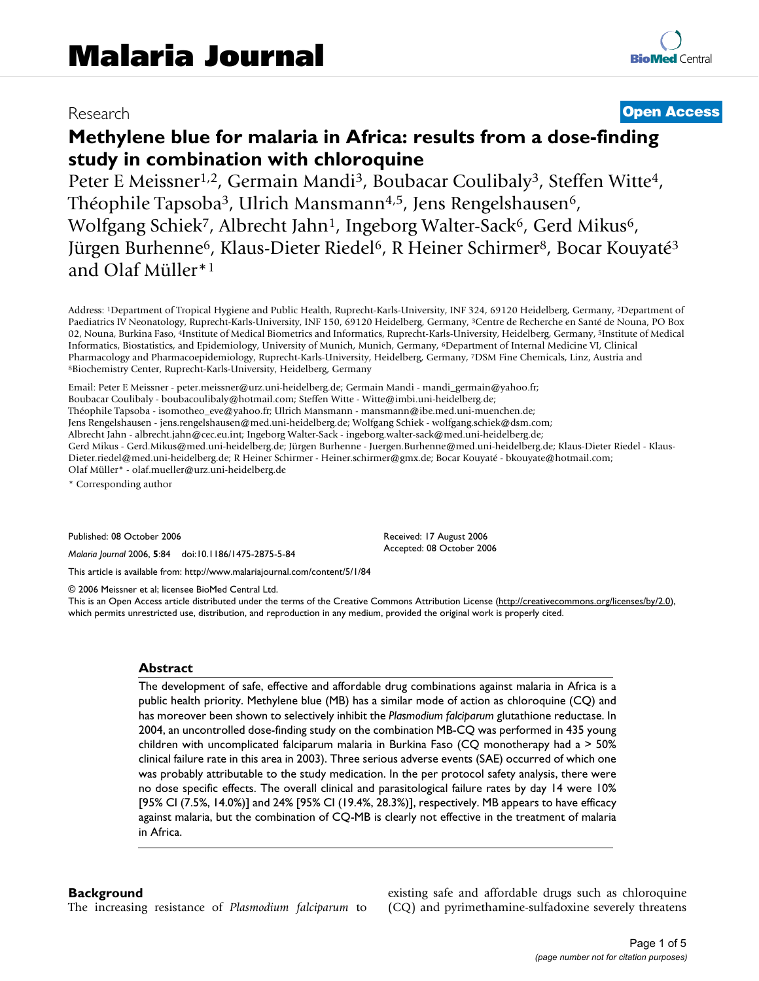# Research **[Open Access](http://www.biomedcentral.com/info/about/charter/)**

# **Methylene blue for malaria in Africa: results from a dose-finding study in combination with chloroquine**

Peter E Meissner<sup>1,2</sup>, Germain Mandi<sup>3</sup>, Boubacar Coulibaly<sup>3</sup>, Steffen Witte<sup>4</sup>, Théophile Tapsoba<sup>3</sup>, Ulrich Mansmann<sup>4,5</sup>, Jens Rengelshausen<sup>6</sup>, Wolfgang Schiek<sup>7</sup>, Albrecht Jahn<sup>1</sup>, Ingeborg Walter-Sack<sup>6</sup>, Gerd Mikus<sup>6</sup>, Jürgen Burhenne<sup>6</sup>, Klaus-Dieter Riedel<sup>6</sup>, R Heiner Schirmer<sup>8</sup>, Bocar Kouyaté<sup>3</sup> and Olaf Müller\*1

Address: 1Department of Tropical Hygiene and Public Health, Ruprecht-Karls-University, INF 324, 69120 Heidelberg, Germany, 2Department of Paediatrics IV Neonatology, Ruprecht-Karls-University, INF 150, 69120 Heidelberg, Germany, 3Centre de Recherche en Santé de Nouna, PO Box 02, Nouna, Burkina Faso, 4Institute of Medical Biometrics and Informatics, Ruprecht-Karls-University, Heidelberg, Germany, 5Institute of Medical Informatics, Biostatistics, and Epidemiology, University of Munich, Munich, Germany, 6Department of Internal Medicine VI, Clinical Pharmacology and Pharmacoepidemiology, Ruprecht-Karls-University, Heidelberg, Germany, 7DSM Fine Chemicals, Linz, Austria and 8Biochemistry Center, Ruprecht-Karls-University, Heidelberg, Germany

Email: Peter E Meissner - peter.meissner@urz.uni-heidelberg.de; Germain Mandi - mandi\_germain@yahoo.fr; Boubacar Coulibaly - boubacoulibaly@hotmail.com; Steffen Witte - Witte@imbi.uni-heidelberg.de; Théophile Tapsoba - isomotheo\_eve@yahoo.fr; Ulrich Mansmann - mansmann@ibe.med.uni-muenchen.de; Jens Rengelshausen - jens.rengelshausen@med.uni-heidelberg.de; Wolfgang Schiek - wolfgang.schiek@dsm.com; Albrecht Jahn - albrecht.jahn@cec.eu.int; Ingeborg Walter-Sack - ingeborg.walter-sack@med.uni-heidelberg.de; Gerd Mikus - Gerd.Mikus@med.uni-heidelberg.de; Jürgen Burhenne - Juergen.Burhenne@med.uni-heidelberg.de; Klaus-Dieter Riedel - Klaus-Dieter.riedel@med.uni-heidelberg.de; R Heiner Schirmer - Heiner.schirmer@gmx.de; Bocar Kouyaté - bkouyate@hotmail.com; Olaf Müller\* - olaf.mueller@urz.uni-heidelberg.de

\* Corresponding author

Published: 08 October 2006

*Malaria Journal* 2006, **5**:84 doi:10.1186/1475-2875-5-84

[This article is available from: http://www.malariajournal.com/content/5/1/84](http://www.malariajournal.com/content/5/1/84)

© 2006 Meissner et al; licensee BioMed Central Ltd.

This is an Open Access article distributed under the terms of the Creative Commons Attribution License [\(http://creativecommons.org/licenses/by/2.0\)](http://creativecommons.org/licenses/by/2.0), which permits unrestricted use, distribution, and reproduction in any medium, provided the original work is properly cited.

Received: 17 August 2006 Accepted: 08 October 2006

#### **Abstract**

The development of safe, effective and affordable drug combinations against malaria in Africa is a public health priority. Methylene blue (MB) has a similar mode of action as chloroquine (CQ) and has moreover been shown to selectively inhibit the *Plasmodium falciparum* glutathione reductase. In 2004, an uncontrolled dose-finding study on the combination MB-CQ was performed in 435 young children with uncomplicated falciparum malaria in Burkina Faso (CQ monotherapy had a > 50% clinical failure rate in this area in 2003). Three serious adverse events (SAE) occurred of which one was probably attributable to the study medication. In the per protocol safety analysis, there were no dose specific effects. The overall clinical and parasitological failure rates by day 14 were 10% [95% CI (7.5%, 14.0%)] and 24% [95% CI (19.4%, 28.3%)], respectively. MB appears to have efficacy against malaria, but the combination of CQ-MB is clearly not effective in the treatment of malaria in Africa.

#### **Background**

The increasing resistance of *Plasmodium falciparum* to

existing safe and affordable drugs such as chloroquine (CQ) and pyrimethamine-sulfadoxine severely threatens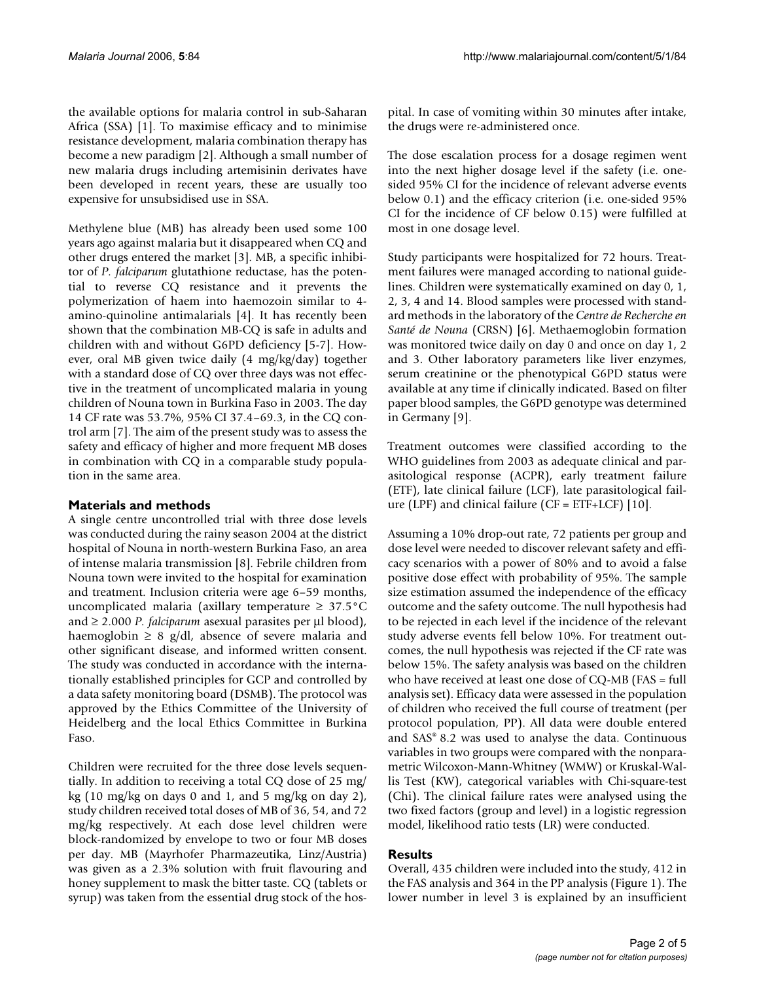the available options for malaria control in sub-Saharan Africa (SSA) [1]. To maximise efficacy and to minimise resistance development, malaria combination therapy has become a new paradigm [2]. Although a small number of new malaria drugs including artemisinin derivates have been developed in recent years, these are usually too expensive for unsubsidised use in SSA.

Methylene blue (MB) has already been used some 100 years ago against malaria but it disappeared when CQ and other drugs entered the market [3]. MB, a specific inhibitor of *P. falciparum* glutathione reductase, has the potential to reverse CQ resistance and it prevents the polymerization of haem into haemozoin similar to 4 amino-quinoline antimalarials [4]. It has recently been shown that the combination MB-CQ is safe in adults and children with and without G6PD deficiency [5-7]. However, oral MB given twice daily (4 mg/kg/day) together with a standard dose of CQ over three days was not effective in the treatment of uncomplicated malaria in young children of Nouna town in Burkina Faso in 2003. The day 14 CF rate was 53.7%, 95% CI 37.4–69.3, in the CQ control arm [7]. The aim of the present study was to assess the safety and efficacy of higher and more frequent MB doses in combination with CQ in a comparable study population in the same area.

# **Materials and methods**

A single centre uncontrolled trial with three dose levels was conducted during the rainy season 2004 at the district hospital of Nouna in north-western Burkina Faso, an area of intense malaria transmission [8]. Febrile children from Nouna town were invited to the hospital for examination and treatment. Inclusion criteria were age 6–59 months, uncomplicated malaria (axillary temperature  $\geq 37.5^{\circ}$ C and ≥ 2.000 *P. falciparum* asexual parasites per μl blood), haemoglobin  $\geq 8$  g/dl, absence of severe malaria and other significant disease, and informed written consent. The study was conducted in accordance with the internationally established principles for GCP and controlled by a data safety monitoring board (DSMB). The protocol was approved by the Ethics Committee of the University of Heidelberg and the local Ethics Committee in Burkina Faso.

Children were recruited for the three dose levels sequentially. In addition to receiving a total CQ dose of 25 mg/ kg  $(10 \text{ mg/kg}$  on days 0 and 1, and 5 mg/kg on day 2), study children received total doses of MB of 36, 54, and 72 mg/kg respectively. At each dose level children were block-randomized by envelope to two or four MB doses per day. MB (Mayrhofer Pharmazeutika, Linz/Austria) was given as a 2.3% solution with fruit flavouring and honey supplement to mask the bitter taste. CQ (tablets or syrup) was taken from the essential drug stock of the hospital. In case of vomiting within 30 minutes after intake, the drugs were re-administered once.

The dose escalation process for a dosage regimen went into the next higher dosage level if the safety (i.e. onesided 95% CI for the incidence of relevant adverse events below 0.1) and the efficacy criterion (i.e. one-sided 95% CI for the incidence of CF below 0.15) were fulfilled at most in one dosage level.

Study participants were hospitalized for 72 hours. Treatment failures were managed according to national guidelines. Children were systematically examined on day 0, 1, 2, 3, 4 and 14. Blood samples were processed with standard methods in the laboratory of the *Centre de Recherche en Santé de Nouna* (CRSN) [6]. Methaemoglobin formation was monitored twice daily on day 0 and once on day 1, 2 and 3. Other laboratory parameters like liver enzymes, serum creatinine or the phenotypical G6PD status were available at any time if clinically indicated. Based on filter paper blood samples, the G6PD genotype was determined in Germany [9].

Treatment outcomes were classified according to the WHO guidelines from 2003 as adequate clinical and parasitological response (ACPR), early treatment failure (ETF), late clinical failure (LCF), late parasitological failure (LPF) and clinical failure ( $CF = ETF + LCF$ ) [10].

Assuming a 10% drop-out rate, 72 patients per group and dose level were needed to discover relevant safety and efficacy scenarios with a power of 80% and to avoid a false positive dose effect with probability of 95%. The sample size estimation assumed the independence of the efficacy outcome and the safety outcome. The null hypothesis had to be rejected in each level if the incidence of the relevant study adverse events fell below 10%. For treatment outcomes, the null hypothesis was rejected if the CF rate was below 15%. The safety analysis was based on the children who have received at least one dose of CQ-MB (FAS = full analysis set). Efficacy data were assessed in the population of children who received the full course of treatment (per protocol population, PP). All data were double entered and SAS® 8.2 was used to analyse the data. Continuous variables in two groups were compared with the nonparametric Wilcoxon-Mann-Whitney (WMW) or Kruskal-Wallis Test (KW), categorical variables with Chi-square-test (Chi). The clinical failure rates were analysed using the two fixed factors (group and level) in a logistic regression model, likelihood ratio tests (LR) were conducted.

# **Results**

Overall, 435 children were included into the study, 412 in the FAS analysis and 364 in the PP analysis (Figure 1). The lower number in level 3 is explained by an insufficient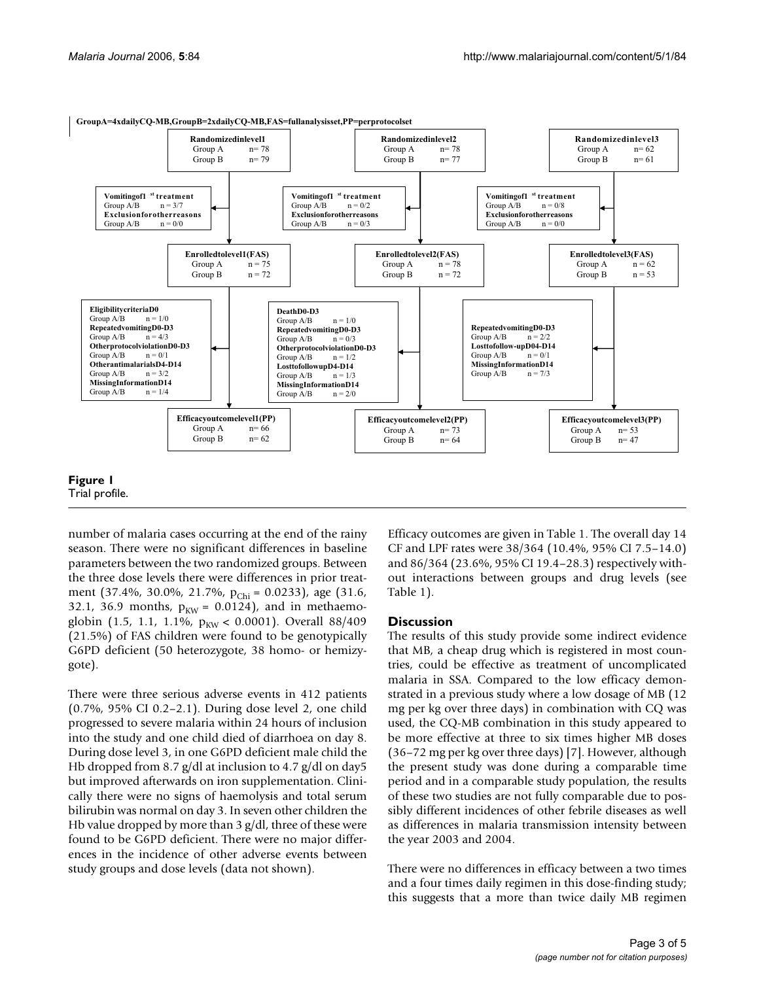

number of malaria cases occurring at the end of the rainy season. There were no significant differences in baseline parameters between the two randomized groups. Between the three dose levels there were differences in prior treatment (37.4%, 30.0%, 21.7%, p<sub>Chi</sub> = 0.0233), age (31.6, 32.1, 36.9 months,  $p_{KW} = 0.0124$ ), and in methaemoglobin (1.5, 1.1, 1.1%,  $p_{KW}$  < 0.0001). Overall 88/409 (21.5%) of FAS children were found to be genotypically G6PD deficient (50 heterozygote, 38 homo- or hemizygote).

There were three serious adverse events in 412 patients (0.7%, 95% CI 0.2–2.1). During dose level 2, one child progressed to severe malaria within 24 hours of inclusion into the study and one child died of diarrhoea on day 8. During dose level 3, in one G6PD deficient male child the Hb dropped from 8.7 g/dl at inclusion to 4.7 g/dl on day5 but improved afterwards on iron supplementation. Clinically there were no signs of haemolysis and total serum bilirubin was normal on day 3. In seven other children the Hb value dropped by more than 3 g/dl, three of these were found to be G6PD deficient. There were no major differences in the incidence of other adverse events between study groups and dose levels (data not shown).

Efficacy outcomes are given in Table 1. The overall day 14 CF and LPF rates were 38/364 (10.4%, 95% CI 7.5–14.0) and 86/364 (23.6%, 95% CI 19.4–28.3) respectively without interactions between groups and drug levels (see Table 1).

# **Discussion**

The results of this study provide some indirect evidence that MB, a cheap drug which is registered in most countries, could be effective as treatment of uncomplicated malaria in SSA. Compared to the low efficacy demonstrated in a previous study where a low dosage of MB (12 mg per kg over three days) in combination with CQ was used, the CQ-MB combination in this study appeared to be more effective at three to six times higher MB doses (36–72 mg per kg over three days) [7]. However, although the present study was done during a comparable time period and in a comparable study population, the results of these two studies are not fully comparable due to possibly different incidences of other febrile diseases as well as differences in malaria transmission intensity between the year 2003 and 2004.

There were no differences in efficacy between a two times and a four times daily regimen in this dose-finding study; this suggests that a more than twice daily MB regimen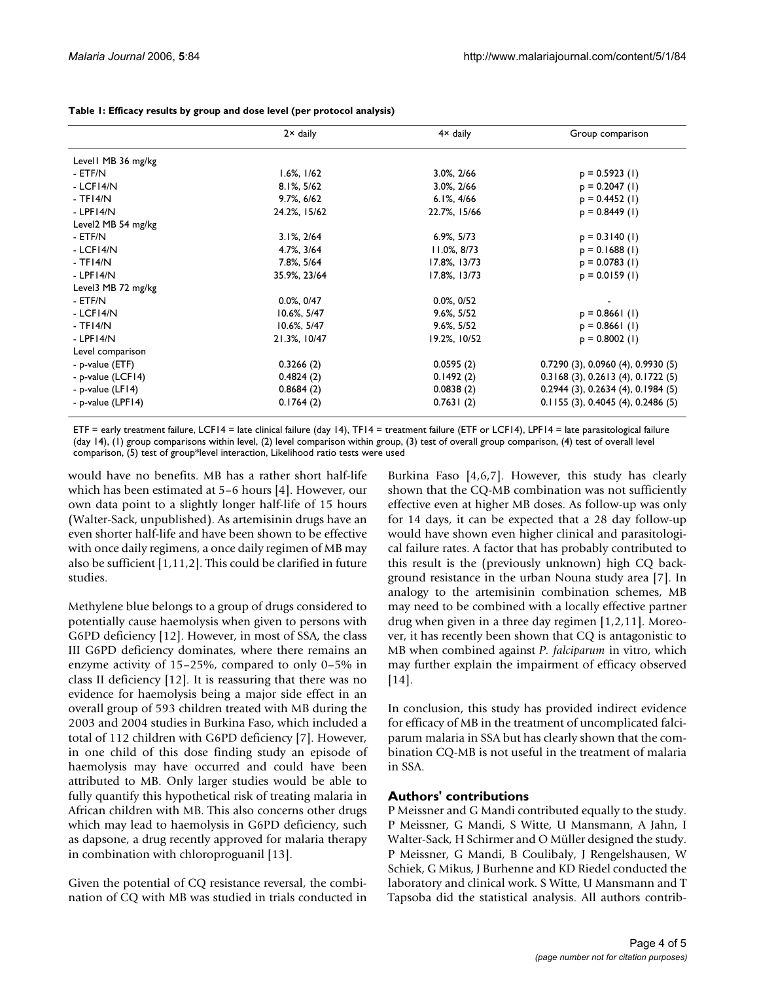|                    | $2 \times$ daily | $4 \times$ daily | Group comparison                          |
|--------------------|------------------|------------------|-------------------------------------------|
| Levell MB 36 mg/kg |                  |                  |                                           |
| - ETF/N            | $1.6\%$ , $1/62$ | $3.0\%$ , $2/66$ | $p = 0.5923$ (1)                          |
| - LCFI4/N          | 8.1%, 5/62       | 3.0%, 2/66       | $p = 0.2047 (1)$                          |
| $-TFI4/N$          | $9.7\%$ , 6/62   | $6.1\%$ , $4/66$ | $p = 0.4452 (1)$                          |
| $-LPFI4/N$         | 24.2%, 15/62     | 22.7%, 15/66     | $p = 0.8449$ (1)                          |
| Level2 MB 54 mg/kg |                  |                  |                                           |
| - ETF/N            | $3.1\%$ , $2/64$ | $6.9\%, 5/73$    | $p = 0.3140$ (1)                          |
| - LCFI4/N          | 4.7%, 3/64       | $11.0\%$ , 8/73  | $p = 0.1688(1)$                           |
| $-TFI4/N$          | 7.8%, 5/64       | 17.8%, 13/73     | $p = 0.0783$ (1)                          |
| $-LPFI4/N$         | 35.9%, 23/64     | 17.8%, 13/73     | $p = 0.0159$ (1)                          |
| Level3 MB 72 mg/kg |                  |                  |                                           |
| - ETF/N            | $0.0\%$ , $0/47$ | $0.0\%$ , $0/52$ |                                           |
| - LCFI4/N          | 10.6%, 5/47      | $9.6\%$ , $5/52$ | $p = 0.866$ (1)                           |
| $-TFI4/N$          | 10.6%, 5/47      | $9.6\%$ , $5/52$ | $p = 0.8661$ (1)                          |
| $-LPFI4/N$         | 21.3%, 10/47     | 19.2%, 10/52     | $p = 0.8002 (1)$                          |
| Level comparison   |                  |                  |                                           |
| - p-value (ETF)    | 0.3266(2)        | 0.0595(2)        | $0.7290(3)$ , 0.0960 $(4)$ , 0.9930 $(5)$ |
| - p-value (LCF14)  | 0.4824(2)        | 0.1492(2)        | $0.3168$ (3), $0.2613$ (4), $0.1722$ (5)  |
| - p-value $(LF14)$ | 0.8684(2)        | 0.0838(2)        | $0.2944$ (3), $0.2634$ (4), $0.1984$ (5)  |
| - p-value (LPF14)  | 0.1764(2)        | 0.7631(2)        | 0.1155(3), 0.4045(4), 0.2486(5)           |

**Table 1: Efficacy results by group and dose level (per protocol analysis)**

ETF = early treatment failure, LCF14 = late clinical failure (day 14), TF14 = treatment failure (ETF or LCF14), LPF14 = late parasitological failure (day 14), (1) group comparisons within level, (2) level comparison within group, (3) test of overall group comparison, (4) test of overall level comparison, (5) test of group\*level interaction, Likelihood ratio tests were used

would have no benefits. MB has a rather short half-life which has been estimated at 5–6 hours [4]. However, our own data point to a slightly longer half-life of 15 hours (Walter-Sack, unpublished). As artemisinin drugs have an even shorter half-life and have been shown to be effective with once daily regimens, a once daily regimen of MB may also be sufficient [1,11,2]. This could be clarified in future studies.

Methylene blue belongs to a group of drugs considered to potentially cause haemolysis when given to persons with G6PD deficiency [12]. However, in most of SSA, the class III G6PD deficiency dominates, where there remains an enzyme activity of 15–25%, compared to only 0–5% in class II deficiency [12]. It is reassuring that there was no evidence for haemolysis being a major side effect in an overall group of 593 children treated with MB during the 2003 and 2004 studies in Burkina Faso, which included a total of 112 children with G6PD deficiency [7]. However, in one child of this dose finding study an episode of haemolysis may have occurred and could have been attributed to MB. Only larger studies would be able to fully quantify this hypothetical risk of treating malaria in African children with MB. This also concerns other drugs which may lead to haemolysis in G6PD deficiency, such as dapsone, a drug recently approved for malaria therapy in combination with chloroproguanil [13].

Given the potential of CQ resistance reversal, the combination of CQ with MB was studied in trials conducted in

Burkina Faso [4,6,7]. However, this study has clearly shown that the CQ-MB combination was not sufficiently effective even at higher MB doses. As follow-up was only for 14 days, it can be expected that a 28 day follow-up would have shown even higher clinical and parasitological failure rates. A factor that has probably contributed to this result is the (previously unknown) high CQ background resistance in the urban Nouna study area [7]. In analogy to the artemisinin combination schemes, MB may need to be combined with a locally effective partner drug when given in a three day regimen [1,2,11]. Moreover, it has recently been shown that CQ is antagonistic to MB when combined against *P. falciparum* in vitro, which may further explain the impairment of efficacy observed [14].

In conclusion, this study has provided indirect evidence for efficacy of MB in the treatment of uncomplicated falciparum malaria in SSA but has clearly shown that the combination CQ-MB is not useful in the treatment of malaria in SSA.

# **Authors' contributions**

P Meissner and G Mandi contributed equally to the study. P Meissner, G Mandi, S Witte, U Mansmann, A Jahn, I Walter-Sack, H Schirmer and O Müller designed the study. P Meissner, G Mandi, B Coulibaly, J Rengelshausen, W Schiek, G Mikus, J Burhenne and KD Riedel conducted the laboratory and clinical work. S Witte, U Mansmann and T Tapsoba did the statistical analysis. All authors contrib